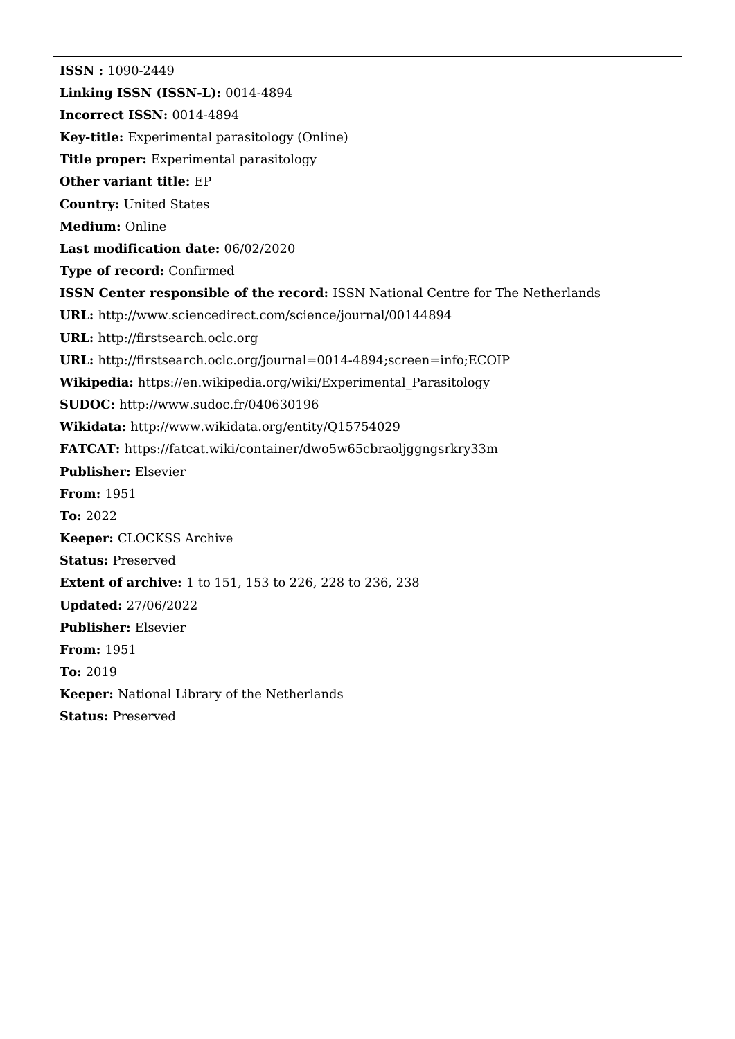**ISSN :** 1090-2449 **Linking ISSN (ISSN-L):** 0014-4894 **Incorrect ISSN:** 0014-4894 **Key-title:** Experimental parasitology (Online) **Title proper:** Experimental parasitology **Other variant title:** EP **Country:** United States **Medium:** Online **Last modification date:** 06/02/2020 **Type of record:** Confirmed **ISSN Center responsible of the record:** ISSN National Centre for The Netherlands **URL:** <http://www.sciencedirect.com/science/journal/00144894> **URL:** <http://firstsearch.oclc.org> **URL:** <http://firstsearch.oclc.org/journal=0014-4894;screen=info;ECOIP> **Wikipedia:** [https://en.wikipedia.org/wiki/Experimental\\_Parasitology](https://en.wikipedia.org/wiki/Experimental_Parasitology) **SUDOC:** <http://www.sudoc.fr/040630196> **Wikidata:** <http://www.wikidata.org/entity/Q15754029> **FATCAT:** <https://fatcat.wiki/container/dwo5w65cbraoljggngsrkry33m> **Publisher:** Elsevier **From:** 1951 **To:** 2022 **Keeper:** CLOCKSS Archive **Status:** Preserved **Extent of archive:** 1 to 151, 153 to 226, 228 to 236, 238 **Updated:** 27/06/2022 **Publisher:** Elsevier **From:** 1951 **To:** 2019 **Keeper:** National Library of the Netherlands **Status:** Preserved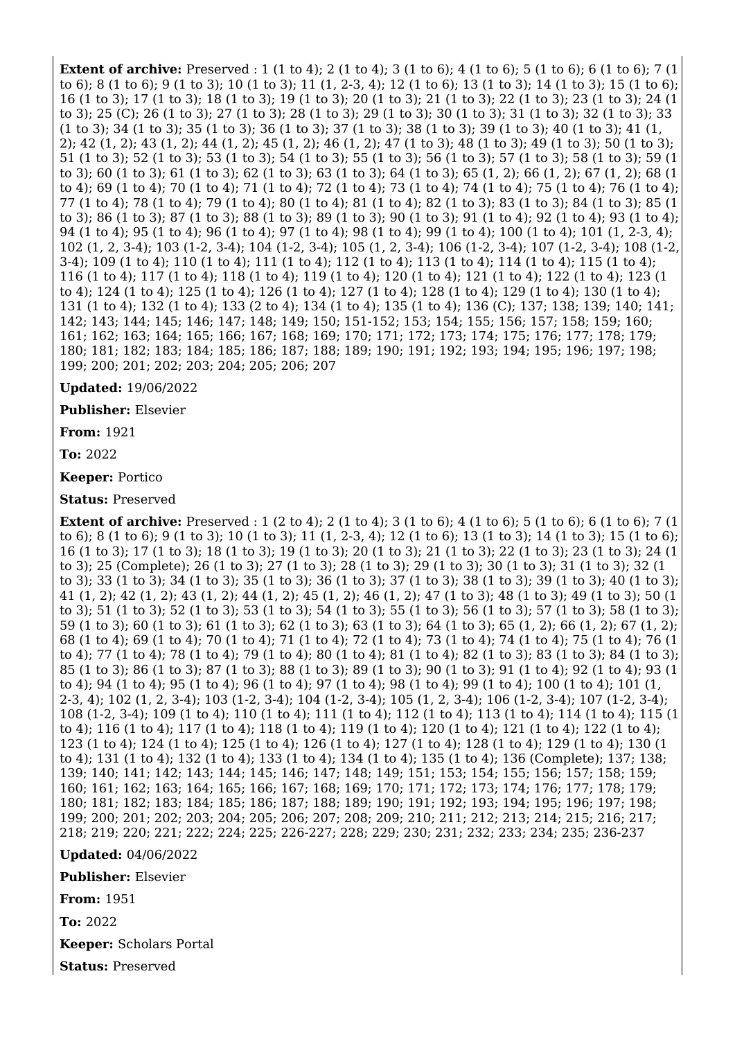**Extent of archive:** Preserved : 1 (1 to 4); 2 (1 to 4); 3 (1 to 6); 4 (1 to 6); 5 (1 to 6); 6 (1 to 6); 7 (1 to 6); 8 (1 to 6); 9 (1 to 3); 10 (1 to 3); 11 (1, 2-3, 4); 12 (1 to 6); 13 (1 to 3); 14 (1 to 3); 15 (1 to 6); 16 (1 to 3); 17 (1 to 3); 18 (1 to 3); 19 (1 to 3); 20 (1 to 3); 21 (1 to 3); 22 (1 to 3); 23 (1 to 3); 24 (1 to 3); 25 (C); 26 (1 to 3); 27 (1 to 3); 28 (1 to 3); 29 (1 to 3); 30 (1 to 3); 31 (1 to 3); 32 (1 to 3); 33 (1 to 3); 34 (1 to 3); 35 (1 to 3); 36 (1 to 3); 37 (1 to 3); 38 (1 to 3); 39 (1 to 3); 40 (1 to 3); 41 (1, 2); 42 (1, 2); 43 (1, 2); 44 (1, 2); 45 (1, 2); 46 (1, 2); 47 (1 to 3); 48 (1 to 3); 49 (1 to 3); 50 (1 to 3); 51 (1 to 3); 52 (1 to 3); 53 (1 to 3); 54 (1 to 3); 55 (1 to 3); 56 (1 to 3); 57 (1 to 3); 58 (1 to 3); 59 (1 to 3); 60 (1 to 3); 61 (1 to 3); 62 (1 to 3); 63 (1 to 3); 64 (1 to 3); 65 (1, 2); 66 (1, 2); 67 (1, 2); 68 (1 to 4); 69 (1 to 4); 70 (1 to 4); 71 (1 to 4); 72 (1 to 4); 73 (1 to 4); 74 (1 to 4); 75 (1 to 4); 76 (1 to 4); 77 (1 to 4); 78 (1 to 4); 79 (1 to 4); 80 (1 to 4); 81 (1 to 4); 82 (1 to 3); 83 (1 to 3); 84 (1 to 3); 85 (1 to 3); 86 (1 to 3); 87 (1 to 3); 88 (1 to 3); 89 (1 to 3); 90 (1 to 3); 91 (1 to 4); 92 (1 to 4); 93 (1 to 4); 94 (1 to 4); 95 (1 to 4); 96 (1 to 4); 97 (1 to 4); 98 (1 to 4); 99 (1 to 4); 100 (1 to 4); 101 (1, 2-3, 4); 102 (1, 2, 3-4); 103 (1-2, 3-4); 104 (1-2, 3-4); 105 (1, 2, 3-4); 106 (1-2, 3-4); 107 (1-2, 3-4); 108 (1-2, 3-4); 109 (1 to 4); 110 (1 to 4); 111 (1 to 4); 112 (1 to 4); 113 (1 to 4); 114 (1 to 4); 115 (1 to 4); 116 (1 to 4); 117 (1 to 4); 118 (1 to 4); 119 (1 to 4); 120 (1 to 4); 121 (1 to 4); 122 (1 to 4); 123 (1 to 4); 124 (1 to 4); 125 (1 to 4); 126 (1 to 4); 127 (1 to 4); 128 (1 to 4); 129 (1 to 4); 130 (1 to 4); 131 (1 to 4); 132 (1 to 4); 133 (2 to 4); 134 (1 to 4); 135 (1 to 4); 136 (C); 137; 138; 139; 140; 141; 142; 143; 144; 145; 146; 147; 148; 149; 150; 151-152; 153; 154; 155; 156; 157; 158; 159; 160; 161; 162; 163; 164; 165; 166; 167; 168; 169; 170; 171; 172; 173; 174; 175; 176; 177; 178; 179; 180; 181; 182; 183; 184; 185; 186; 187; 188; 189; 190; 191; 192; 193; 194; 195; 196; 197; 198; 199; 200; 201; 202; 203; 204; 205; 206; 207

## **Updated:** 19/06/2022

**Publisher:** Elsevier

**From:** 1921

**To:** 2022

**Keeper:** Portico

**Status:** Preserved

**Extent of archive:** Preserved : 1 (2 to 4); 2 (1 to 4); 3 (1 to 6); 4 (1 to 6); 5 (1 to 6); 6 (1 to 6); 7 (1 to 6); 8 (1 to 6); 9 (1 to 3); 10 (1 to 3); 11 (1, 2-3, 4); 12 (1 to 6); 13 (1 to 3); 14 (1 to 3); 15 (1 to 6); 16 (1 to 3); 17 (1 to 3); 18 (1 to 3); 19 (1 to 3); 20 (1 to 3); 21 (1 to 3); 22 (1 to 3); 23 (1 to 3); 24 (1 to 3); 25 (Complete); 26 (1 to 3); 27 (1 to 3); 28 (1 to 3); 29 (1 to 3); 30 (1 to 3); 31 (1 to 3); 32 (1 to 3); 33 (1 to 3); 34 (1 to 3); 35 (1 to 3); 36 (1 to 3); 37 (1 to 3); 38 (1 to 3); 39 (1 to 3); 40 (1 to 3); 41 (1, 2); 42 (1, 2); 43 (1, 2); 44 (1, 2); 45 (1, 2); 46 (1, 2); 47 (1 to 3); 48 (1 to 3); 49 (1 to 3); 50 (1 to 3); 51 (1 to 3); 52 (1 to 3); 53 (1 to 3); 54 (1 to 3); 55 (1 to 3); 56 (1 to 3); 57 (1 to 3); 58 (1 to 3); 59 (1 to 3); 60 (1 to 3); 61 (1 to 3); 62 (1 to 3); 63 (1 to 3); 64 (1 to 3); 65 (1, 2); 66 (1, 2); 67 (1, 2); 68 (1 to 4); 69 (1 to 4); 70 (1 to 4); 71 (1 to 4); 72 (1 to 4); 73 (1 to 4); 74 (1 to 4); 75 (1 to 4); 76 (1 to 4); 77 (1 to 4); 78 (1 to 4); 79 (1 to 4); 80 (1 to 4); 81 (1 to 4); 82 (1 to 3); 83 (1 to 3); 84 (1 to 3); 85 (1 to 3); 86 (1 to 3); 87 (1 to 3); 88 (1 to 3); 89 (1 to 3); 90 (1 to 3); 91 (1 to 4); 92 (1 to 4); 93 (1 to 4); 94 (1 to 4); 95 (1 to 4); 96 (1 to 4); 97 (1 to 4); 98 (1 to 4); 99 (1 to 4); 100 (1 to 4); 101 (1, 2-3, 4); 102 (1, 2, 3-4); 103 (1-2, 3-4); 104 (1-2, 3-4); 105 (1, 2, 3-4); 106 (1-2, 3-4); 107 (1-2, 3-4); 108 (1-2, 3-4); 109 (1 to 4); 110 (1 to 4); 111 (1 to 4); 112 (1 to 4); 113 (1 to 4); 114 (1 to 4); 115 (1 to 4); 116 (1 to 4); 117 (1 to 4); 118 (1 to 4); 119 (1 to 4); 120 (1 to 4); 121 (1 to 4); 122 (1 to 4); 123 (1 to 4); 124 (1 to 4); 125 (1 to 4); 126 (1 to 4); 127 (1 to 4); 128 (1 to 4); 129 (1 to 4); 130 (1 to 4); 131 (1 to 4); 132 (1 to 4); 133 (1 to 4); 134 (1 to 4); 135 (1 to 4); 136 (Complete); 137; 138; 139; 140; 141; 142; 143; 144; 145; 146; 147; 148; 149; 151; 153; 154; 155; 156; 157; 158; 159; 160; 161; 162; 163; 164; 165; 166; 167; 168; 169; 170; 171; 172; 173; 174; 176; 177; 178; 179; 180; 181; 182; 183; 184; 185; 186; 187; 188; 189; 190; 191; 192; 193; 194; 195; 196; 197; 198; 199; 200; 201; 202; 203; 204; 205; 206; 207; 208; 209; 210; 211; 212; 213; 214; 215; 216; 217; 218; 219; 220; 221; 222; 224; 225; 226-227; 228; 229; 230; 231; 232; 233; 234; 235; 236-237

## **Updated:** 04/06/2022

**Publisher:** Elsevier

**From:** 1951

**To:** 2022

**Keeper:** Scholars Portal

**Status:** Preserved